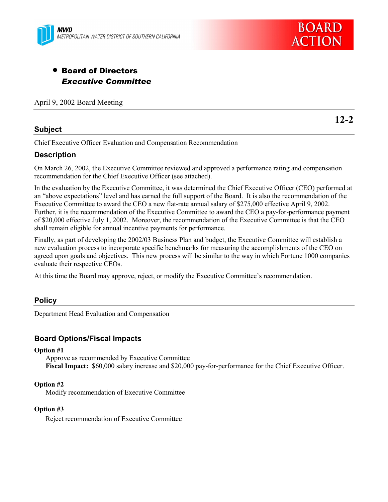



# • Board of Directors *Executive Committee*

April 9, 2002 Board Meeting

### **Subject**

**12-2**

Chief Executive Officer Evaluation and Compensation Recommendation

### **Description**

On March 26, 2002, the Executive Committee reviewed and approved a performance rating and compensation recommendation for the Chief Executive Officer (see attached).

In the evaluation by the Executive Committee, it was determined the Chief Executive Officer (CEO) performed at an "above expectations" level and has earned the full support of the Board. It is also the recommendation of the Executive Committee to award the CEO a new flat-rate annual salary of \$275,000 effective April 9, 2002. Further, it is the recommendation of the Executive Committee to award the CEO a pay-for-performance payment of \$20,000 effective July 1, 2002. Moreover, the recommendation of the Executive Committee is that the CEO shall remain eligible for annual incentive payments for performance.

Finally, as part of developing the 2002/03 Business Plan and budget, the Executive Committee will establish a new evaluation process to incorporate specific benchmarks for measuring the accomplishments of the CEO on agreed upon goals and objectives. This new process will be similar to the way in which Fortune 1000 companies evaluate their respective CEOs.

At this time the Board may approve, reject, or modify the Executive Committee's recommendation.

### **Policy**

Department Head Evaluation and Compensation

### **Board Options/Fiscal Impacts**

#### **Option #1**

Approve as recommended by Executive Committee **Fiscal Impact:** \$60,000 salary increase and \$20,000 pay-for-performance for the Chief Executive Officer.

#### **Option #2**

Modify recommendation of Executive Committee

#### **Option #3**

Reject recommendation of Executive Committee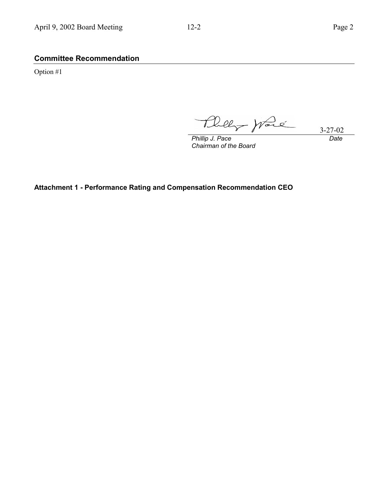### **Committee Recommendation**

Option #1

 $H$ bely prace 3-27-02

*Phillip J. Pace Chairman of the Board* *Date*

**Attachment 1 - Performance Rating and Compensation Recommendation CEO**